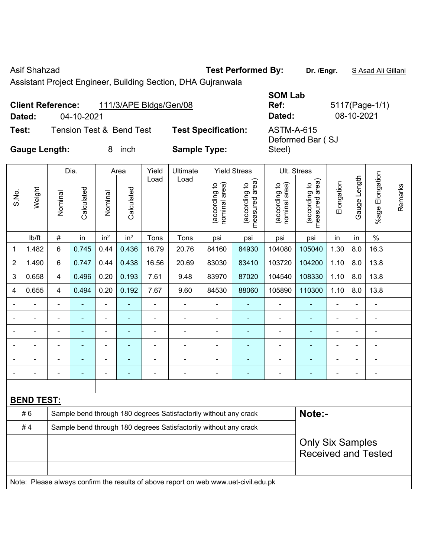S.No.

Asif Shahzad **Test Performed By:** Dr. /Engr. **SAsad Ali Gillani** Collection 2014

Assistant Project Engineer, Building Section, DHA Gujranwala

|                      | <b>Client Reference:</b> | 111/3/APE Bldgs/Gen/08              |                       |
|----------------------|--------------------------|-------------------------------------|-----------------------|
| Dated:               | 04-10-2021               |                                     |                       |
| Test:                |                          | <b>Tension Test &amp; Bend Test</b> | <b>Test Specifica</b> |
| <b>Gauge Length:</b> |                          | inch<br>8                           | <b>Sample Type:</b>   |

**SOM Lab Ref:** 5117(Page-1/1) **Dated:** 04-10-2021 **Dated:** 08-10-2021 **Test: Test Specification:** ASTM-A-615 Deformed Bar ( SJ Steel)

Remarks

Remarks

|                |        |         | Dia.       |                 | Area            | Yield | Ultimate |                                            | <b>Yield Stress</b>                               | Ult. Stress                       |                                                   |            |                |                       |
|----------------|--------|---------|------------|-----------------|-----------------|-------|----------|--------------------------------------------|---------------------------------------------------|-----------------------------------|---------------------------------------------------|------------|----------------|-----------------------|
| S.No.          | Weight | Nominal | Calculated | Nominal         | Calculated      | Load  | Load     | area)<br><u>م</u><br>(according<br>nominal | area)<br>$\overline{c}$<br>(according<br>measured | area)<br>(according to<br>nominal | area)<br>$\overline{c}$<br>(according<br>measured | Elongation | ength<br>Gauge | Elongation<br>$%$ age |
|                | lb/ft  | #       | in         | in <sup>2</sup> | in <sup>2</sup> | Tons  | Tons     | psi                                        | psi                                               | psi                               | psi                                               | in         | in             | $\%$                  |
| 1              | 1.482  | 6       | 0.745      | 0.44            | 0.436           | 16.79 | 20.76    | 84160                                      | 84930                                             | 104080                            | 105040                                            | 1.30       | 8.0            | 16.3                  |
| $\overline{c}$ | 1.490  | 6       | 0.747      | 0.44            | 0.438           | 16.56 | 20.69    | 83030                                      | 83410                                             | 103720                            | 104200                                            | 1.10       | 8.0            | 13.8                  |
| 3              | 0.658  | 4       | 0.496      | 0.20            | 0.193           | 7.61  | 9.48     | 83970                                      | 87020                                             | 104540                            | 108330                                            | 1.10       | 8.0            | 13.8                  |
| 4              | 0.655  | 4       | 0.494      | 0.20            | 0.192           | 7.67  | 9.60     | 84530                                      | 88060                                             | 105890                            | 110300                                            | 1.10       | 8.0            | 13.8                  |
| ۳              |        |         |            |                 |                 |       |          |                                            |                                                   |                                   |                                                   |            |                |                       |
| ۳              |        |         |            |                 |                 | ۰     | ۰        |                                            |                                                   |                                   |                                                   | $\equiv$   |                |                       |
|                |        |         |            |                 |                 |       |          |                                            |                                                   |                                   |                                                   |            |                |                       |

| <b>BEND TEST:</b> |  |  |                                                                  |                                                                                     |                            |  |  |
|-------------------|--|--|------------------------------------------------------------------|-------------------------------------------------------------------------------------|----------------------------|--|--|
| #6                |  |  | Sample bend through 180 degrees Satisfactorily without any crack |                                                                                     | Note:-                     |  |  |
| #4                |  |  | Sample bend through 180 degrees Satisfactorily without any crack |                                                                                     |                            |  |  |
|                   |  |  |                                                                  |                                                                                     | <b>Only Six Samples</b>    |  |  |
|                   |  |  |                                                                  |                                                                                     | <b>Received and Tested</b> |  |  |
|                   |  |  |                                                                  |                                                                                     |                            |  |  |
|                   |  |  |                                                                  | Note: Please always confirm the results of above report on web www.uet-civil.edu.pk |                            |  |  |

- - - - - - - - - - - - - - - - - - - - - - - - - - - - - -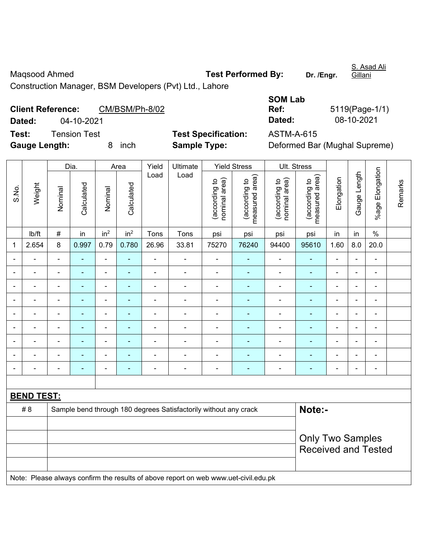Maqsood Ahmed **Test Performed By:** Dr. /Engr.

S. Asad Ali Gillani

Construction Manager, BSM Developers (Pvt) Ltd., Lahore

| <b>Client Reference:</b> |              | CM/BSM/Ph-8/02 |                            | Ref:       | 5119(Page-1/1)                |
|--------------------------|--------------|----------------|----------------------------|------------|-------------------------------|
| Dated:                   | 04-10-2021   |                |                            | Dated:     | 08-10-2021                    |
| Test:                    | Tension Test |                | <b>Test Specification:</b> | ASTM-A-615 |                               |
| <b>Gauge Length:</b>     |              | inch           | <b>Sample Type:</b>        |            | Deformed Bar (Mughal Supreme) |

| 5119(Page-1/1) |
|----------------|
| 08-10-2021     |
|                |

|             |                   |                | Dia.                                                                       |                              | Area            | Yield          | Ultimate<br><b>Yield Stress</b>                                                     |                                |                                 | <b>Ult. Stress</b>             |                                 |                          |                          |                       |         |
|-------------|-------------------|----------------|----------------------------------------------------------------------------|------------------------------|-----------------|----------------|-------------------------------------------------------------------------------------|--------------------------------|---------------------------------|--------------------------------|---------------------------------|--------------------------|--------------------------|-----------------------|---------|
| S.No.       | Weight            | Nominal        | Calculated                                                                 | Nominal                      | Calculated      | Load           | Load                                                                                | nominal area)<br>(according to | (according to<br>measured area) | (according to<br>nominal area) | (according to<br>measured area) | Elongation               | Gauge Length             | Elongation<br>$%$ age | Remarks |
|             | lb/ft             | #              | in                                                                         | in <sup>2</sup>              | in <sup>2</sup> | Tons           | Tons                                                                                | psi                            | psi                             | psi                            | psi                             | in                       | in                       | $\%$                  |         |
| $\mathbf 1$ | 2.654             | 8              | 0.997                                                                      | 0.79                         | 0.780           | 26.96          | 33.81                                                                               | 75270                          | 76240                           | 94400                          | 95610                           | 1.60                     | 8.0                      | 20.0                  |         |
|             |                   | ä,             | L.                                                                         | $\blacksquare$               | ä,              | $\overline{a}$ | ä,                                                                                  | L                              | $\blacksquare$                  | $\blacksquare$                 | ä,                              | ÷                        |                          | L.                    |         |
|             |                   | $\blacksquare$ |                                                                            | $\blacksquare$               |                 | $\overline{a}$ | ä,                                                                                  | $\blacksquare$                 |                                 | $\blacksquare$                 | $\blacksquare$                  | $\blacksquare$           |                          | $\blacksquare$        |         |
|             |                   | ä,             |                                                                            | $\blacksquare$               |                 | L              | ÷,                                                                                  | L,                             | ä,                              | $\overline{\phantom{a}}$       |                                 | ä,                       |                          | $\blacksquare$        |         |
|             |                   |                | ۰                                                                          | ۰                            | $\overline{a}$  | $\blacksquare$ | ÷                                                                                   | $\blacksquare$                 | ٠                               | ٠                              | $\blacksquare$                  | $\overline{\phantom{0}}$ | $\overline{\phantom{0}}$ | $\overline{a}$        |         |
|             |                   | $\blacksquare$ | ÷,                                                                         | $\overline{\phantom{a}}$     | ٠               | $\blacksquare$ | $\overline{\phantom{a}}$                                                            | ä,                             | ٠                               | $\overline{\phantom{a}}$       | $\blacksquare$                  | $\blacksquare$           | $\blacksquare$           | $\blacksquare$        |         |
|             |                   | $\blacksquare$ | $\blacksquare$                                                             | $\overline{\phantom{a}}$     | $\overline{a}$  | $\blacksquare$ | $\overline{\phantom{a}}$                                                            | $\blacksquare$                 | ۰                               | $\overline{\phantom{0}}$       | $\blacksquare$                  | $\blacksquare$           |                          | $\blacksquare$        |         |
|             |                   | $\blacksquare$ | ÷,                                                                         | $\blacksquare$               | ٠               | $\blacksquare$ | ä,                                                                                  | ä,                             | ٠                               | $\blacksquare$                 | $\blacksquare$                  | $\blacksquare$           |                          | $\blacksquare$        |         |
|             |                   | $\blacksquare$ | $\blacksquare$                                                             | $\qquad \qquad \blacksquare$ | ÷               | $\blacksquare$ | ÷,                                                                                  | $\blacksquare$                 | $\blacksquare$                  | $\blacksquare$                 | $\blacksquare$                  | $\blacksquare$           |                          | $\blacksquare$        |         |
|             |                   | $\blacksquare$ |                                                                            | ۰                            |                 | $\blacksquare$ | $\blacksquare$                                                                      | Ē,                             | ٠                               | ä,                             | $\blacksquare$                  | ä,                       |                          | $\blacksquare$        |         |
|             |                   |                |                                                                            |                              |                 |                |                                                                                     |                                |                                 |                                |                                 |                          |                          |                       |         |
|             | <b>BEND TEST:</b> |                |                                                                            |                              |                 |                |                                                                                     |                                |                                 |                                |                                 |                          |                          |                       |         |
|             | #8                |                | Note:-<br>Sample bend through 180 degrees Satisfactorily without any crack |                              |                 |                |                                                                                     |                                |                                 |                                |                                 |                          |                          |                       |         |
|             |                   |                |                                                                            |                              |                 |                |                                                                                     |                                |                                 |                                |                                 |                          |                          |                       |         |
|             |                   |                |                                                                            |                              |                 |                |                                                                                     |                                |                                 |                                | <b>Only Two Samples</b>         |                          |                          |                       |         |
|             |                   |                |                                                                            |                              |                 |                |                                                                                     |                                |                                 |                                | <b>Received and Tested</b>      |                          |                          |                       |         |
|             |                   |                |                                                                            |                              |                 |                |                                                                                     |                                |                                 |                                |                                 |                          |                          |                       |         |
|             |                   |                |                                                                            |                              |                 |                | Note: Please always confirm the results of above report on web www.uet-civil.edu.pk |                                |                                 |                                |                                 |                          |                          |                       |         |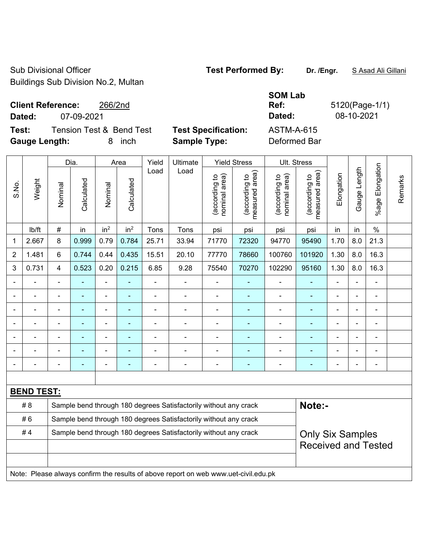Sub Divisional Officer **Test Performed By:** Dr. /Engr. **SAsad Ali Gillani** Sub Divisional Officer Buildings Sub Division No.2, Multan

# **Client Reference:** 266/2nd

 $\top$ 

 $\mathbf{\overline{1}}$ 

**Test:** Tension Test & Bend Test **Test Specification:** ASTM-A-615 **Gauge Length:** 8 inch **Sample Type:** Deformed Bar

 $\overline{\phantom{a}}$ 

**SOM Lab Ref:** 5120(Page-1/1) **Dated:** 07-09-2021 **Dated:** 08-10-2021

|                |                   |                                                                  | Dia.                                                                                |                          | Area            | Yield          | Ultimate                                                         | <b>Yield Stress</b>            |                                             |                                | Ult. Stress                     |                          |                |                          |         |
|----------------|-------------------|------------------------------------------------------------------|-------------------------------------------------------------------------------------|--------------------------|-----------------|----------------|------------------------------------------------------------------|--------------------------------|---------------------------------------------|--------------------------------|---------------------------------|--------------------------|----------------|--------------------------|---------|
| S.No.          | Weight            | Nominal                                                          | Calculated                                                                          | Nominal                  | Calculated      | Load           | Load                                                             | (according to<br>nominal area) | (according to<br>measured area)<br>measured | (according to<br>nominal area) | (according to<br>measured area) | Elongation               | Gauge Length   | Elongation<br>$%$ age    | Remarks |
|                | lb/ft             | $\#$                                                             | in                                                                                  | in <sup>2</sup>          | in <sup>2</sup> | Tons           | Tons                                                             | psi                            | psi                                         | psi                            | psi                             | in                       | in             | $\%$                     |         |
| 1              | 2.667             | 8                                                                | 0.999                                                                               | 0.79                     | 0.784           | 25.71          | 33.94                                                            | 71770                          | 72320                                       | 94770                          | 95490                           | 1.70                     | 8.0            | 21.3                     |         |
| $\overline{2}$ | 1.481             | 6                                                                | 0.744                                                                               | 0.44                     | 0.435           | 15.51          | 20.10                                                            | 77770                          | 78660                                       | 100760                         | 101920                          | 1.30                     | 8.0            | 16.3                     |         |
| 3              | 0.731             | 4                                                                | 0.523                                                                               | 0.20                     | 0.215           | 6.85           | 9.28                                                             | 75540                          | 70270                                       | 102290                         | 95160                           | 1.30                     | 8.0            | 16.3                     |         |
|                |                   |                                                                  |                                                                                     |                          |                 |                |                                                                  |                                |                                             |                                |                                 |                          |                |                          |         |
|                |                   | $\blacksquare$                                                   |                                                                                     | $\blacksquare$           |                 |                | ÷                                                                | $\blacksquare$                 |                                             |                                |                                 |                          |                | $\blacksquare$           |         |
|                |                   | ä,                                                               | ٠                                                                                   | $\blacksquare$           | ÷               | Ē,             | $\blacksquare$                                                   | $\blacksquare$                 |                                             | ÷                              | $\blacksquare$                  | $\blacksquare$           |                | $\blacksquare$           |         |
|                |                   | $\blacksquare$                                                   | ٠                                                                                   | $\overline{\phantom{a}}$ | $\blacksquare$  | Ē,             | ÷                                                                | $\blacksquare$                 | $\overline{a}$                              | ÷                              | $\blacksquare$                  | $\blacksquare$           |                | $\overline{\phantom{a}}$ |         |
|                |                   | $\blacksquare$                                                   | $\blacksquare$                                                                      | ä,                       | ۰               | $\blacksquare$ | ä,                                                               |                                | $\blacksquare$                              | $\blacksquare$                 | ä,                              | $\blacksquare$           |                | $\blacksquare$           |         |
|                |                   |                                                                  |                                                                                     | $\overline{a}$           |                 |                | $\blacksquare$                                                   |                                |                                             |                                |                                 |                          |                | $\blacksquare$           |         |
|                |                   | $\overline{\phantom{0}}$                                         | ۰                                                                                   | $\overline{a}$           | ۰               | ٠              | $\overline{\phantom{0}}$                                         | $\overline{\phantom{0}}$       | $\overline{a}$                              | $\overline{\phantom{a}}$       | $\overline{\phantom{0}}$        | $\overline{\phantom{0}}$ | $\blacksquare$ | $\overline{\phantom{a}}$ |         |
|                |                   |                                                                  |                                                                                     |                          |                 |                |                                                                  |                                |                                             |                                |                                 |                          |                |                          |         |
|                | <b>BEND TEST:</b> |                                                                  |                                                                                     |                          |                 |                |                                                                  |                                |                                             |                                |                                 |                          |                |                          |         |
|                | #8                |                                                                  |                                                                                     |                          |                 |                | Sample bend through 180 degrees Satisfactorily without any crack |                                |                                             |                                | Note:-                          |                          |                |                          |         |
|                | #6                | Sample bend through 180 degrees Satisfactorily without any crack |                                                                                     |                          |                 |                |                                                                  |                                |                                             |                                |                                 |                          |                |                          |         |
|                | #4                |                                                                  |                                                                                     |                          |                 |                | Sample bend through 180 degrees Satisfactorily without any crack |                                |                                             |                                | <b>Only Six Samples</b>         |                          |                |                          |         |
|                |                   |                                                                  |                                                                                     |                          |                 |                |                                                                  |                                |                                             |                                | <b>Received and Tested</b>      |                          |                |                          |         |
|                |                   |                                                                  |                                                                                     |                          |                 |                |                                                                  |                                |                                             |                                |                                 |                          |                |                          |         |
|                |                   |                                                                  | Note: Please always confirm the results of above report on web www.uet-civil.edu.pk |                          |                 |                |                                                                  |                                |                                             |                                |                                 |                          |                |                          |         |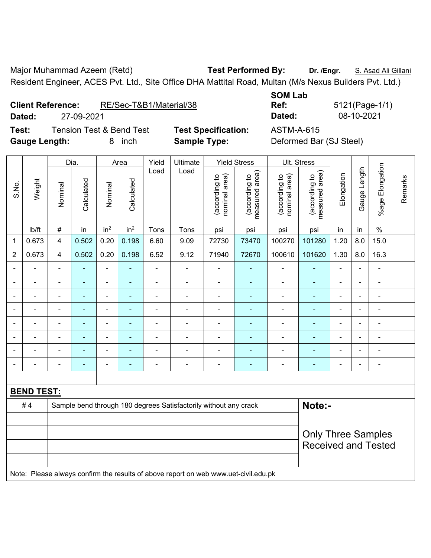Major Muhammad Azeem (Retd) **Test Performed By: Dr. /Engr.** S. Asad Ali Gillani Resident Engineer, ACES Pvt. Ltd., Site Office DHA Mattital Road, Multan (M/s Nexus Builders Pvt. Ltd.)

**Client Reference:** RE/Sec-T&B1/Material/38

**Test:** Tension Test & Bend Test **Test Specification:** ASTM-A-615 **Gauge Length:** 8 inch **Sample Type:** Deformed Bar (SJ Steel)

**Dated:** 27-09-2021 **Dated:** 08-10-2021

|                |                   |                | Dia.                     |                 | Area            | Yield<br>Ultimate        |                                                                                     | <b>Yield Stress</b>            |                                 |                                | Ult. Stress                     |                |                |                 |         |
|----------------|-------------------|----------------|--------------------------|-----------------|-----------------|--------------------------|-------------------------------------------------------------------------------------|--------------------------------|---------------------------------|--------------------------------|---------------------------------|----------------|----------------|-----------------|---------|
| S.No.          | Weight            | Nominal        | Calculated               | Nominal         | Calculated      | Load                     | Load                                                                                | nominal area)<br>(according to | (according to<br>measured area) | nominal area)<br>(according to | (according to<br>measured area) | Elongation     | Gauge Length   | %age Elongation | Remarks |
|                | Ib/ft             | $\#$           | in                       | in <sup>2</sup> | in <sup>2</sup> | Tons                     | Tons                                                                                | psi                            | psi                             | psi                            | psi                             | in             | in             | $\%$            |         |
| 1              | 0.673             | 4              | 0.502                    | 0.20            | 0.198           | 6.60                     | 9.09                                                                                | 72730                          | 73470                           | 100270                         | 101280                          | 1.20           | 8.0            | 15.0            |         |
| $\overline{2}$ | 0.673             | $\overline{4}$ | 0.502                    | 0.20            | 0.198           | 6.52                     | 9.12                                                                                | 71940                          | 72670                           | 100610                         | 101620                          | 1.30           | 8.0            | 16.3            |         |
|                |                   |                |                          | ä,              |                 | ä,                       | $\blacksquare$                                                                      | ÷.                             |                                 | $\blacksquare$                 |                                 | ÷.             |                | $\blacksquare$  |         |
|                |                   |                | $\blacksquare$           | ۰               |                 |                          | $\blacksquare$                                                                      | $\blacksquare$                 |                                 | $\blacksquare$                 | $\blacksquare$                  | $\blacksquare$ |                | $\blacksquare$  |         |
|                |                   |                |                          | ÷               |                 |                          | $\blacksquare$                                                                      | $\blacksquare$                 |                                 | $\blacksquare$                 | $\blacksquare$                  | $\blacksquare$ |                | $\blacksquare$  |         |
|                |                   |                | $\blacksquare$           | ÷               |                 |                          |                                                                                     | $\blacksquare$                 |                                 | $\blacksquare$                 |                                 | $\blacksquare$ | $\blacksquare$ | $\blacksquare$  |         |
|                |                   | $\blacksquare$ | $\overline{\phantom{0}}$ | ÷               | ۰               | $\overline{\phantom{0}}$ | $\overline{\phantom{0}}$                                                            | $\overline{\phantom{a}}$       | $\blacksquare$                  | $\overline{\phantom{a}}$       | $\blacksquare$                  | $\blacksquare$ | $\blacksquare$ | $\blacksquare$  |         |
|                |                   |                | $\blacksquare$           | ÷               |                 | $\blacksquare$           | $\blacksquare$                                                                      | $\blacksquare$                 |                                 | $\blacksquare$                 | $\blacksquare$                  | $\blacksquare$ |                | $\blacksquare$  |         |
|                |                   |                |                          | $\blacksquare$  |                 |                          | $\blacksquare$                                                                      | $\blacksquare$                 |                                 | $\blacksquare$                 | $\blacksquare$                  | $\blacksquare$ |                |                 |         |
|                |                   |                |                          | ٠               |                 |                          | $\blacksquare$                                                                      | $\blacksquare$                 |                                 |                                |                                 |                |                | $\blacksquare$  |         |
|                |                   |                |                          |                 |                 |                          |                                                                                     |                                |                                 |                                |                                 |                |                |                 |         |
|                | <b>BEND TEST:</b> |                |                          |                 |                 |                          |                                                                                     |                                |                                 |                                |                                 |                |                |                 |         |
|                | #4                |                |                          |                 |                 |                          | Sample bend through 180 degrees Satisfactorily without any crack                    |                                |                                 |                                | Note:-                          |                |                |                 |         |
|                |                   |                |                          |                 |                 |                          |                                                                                     |                                |                                 |                                |                                 |                |                |                 |         |
|                |                   |                |                          |                 |                 |                          |                                                                                     |                                |                                 |                                | <b>Only Three Samples</b>       |                |                |                 |         |
|                |                   |                |                          |                 |                 |                          |                                                                                     |                                |                                 |                                | <b>Received and Tested</b>      |                |                |                 |         |
|                |                   |                |                          |                 |                 |                          |                                                                                     |                                |                                 |                                |                                 |                |                |                 |         |
|                |                   |                |                          |                 |                 |                          | Note: Please always confirm the results of above report on web www.uet-civil.edu.pk |                                |                                 |                                |                                 |                |                |                 |         |

**SOM Lab Ref:** 5121(Page-1/1)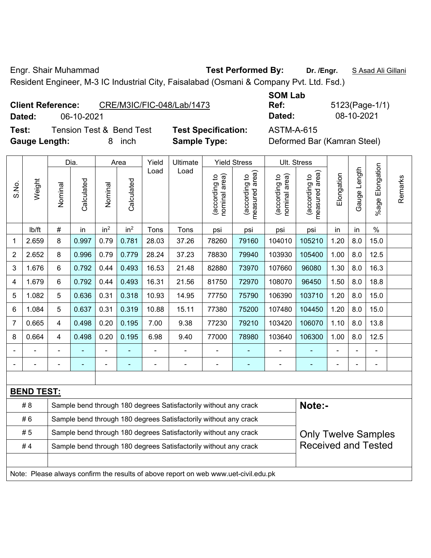Engr. Shair Muhammad **Test Performed By: Dr. /Engr.** S Asad Ali Gillani

Resident Engineer, M-3 IC Industrial City, Faisalabad (Osmani & Company Pvt. Ltd. Fsd.)

### **Client Reference:** CRE/M3IC/FIC-048/Lab/1473

**Dated:** 06-10-2021 **Dated:** 08-10-2021

**Test:** Tension Test & Bend Test **Test Specification:** ASTM-A-615 Gauge Length: 8 inch **Sample Type:** 

**SOM Lab Ref:** 5123(Page-1/1)

|                |                   |                | Dia.       |                 | Area                                                             | Yield          | Ultimate                                                                            |                                | <b>Yield Stress</b>                         |                                | Ult. Stress                     |                |              |                          |         |
|----------------|-------------------|----------------|------------|-----------------|------------------------------------------------------------------|----------------|-------------------------------------------------------------------------------------|--------------------------------|---------------------------------------------|--------------------------------|---------------------------------|----------------|--------------|--------------------------|---------|
| S.No.          | Weight            | Nominal        | Calculated | Nominal         | Calculated                                                       | Load           | Load                                                                                | nominal area)<br>(according to | (according to<br>neasured area)<br>measured | nominal area)<br>(according to | (according to<br>measured area) | Elongation     | Gauge Length | Elongation<br>$%$ age    | Remarks |
|                | lb/ft             | #              | in         | in <sup>2</sup> | in <sup>2</sup>                                                  | Tons           | Tons                                                                                | psi                            | psi                                         | psi                            | psi                             | in             | in           | $\%$                     |         |
| 1              | 2.659             | 8              | 0.997      | 0.79            | 0.781                                                            | 28.03          | 37.26                                                                               | 78260                          | 79160                                       | 104010                         | 105210                          | 1.20           | 8.0          | 15.0                     |         |
| $\overline{2}$ | 2.652             | 8              | 0.996      | 0.79            | 0.779                                                            | 28.24          | 37.23                                                                               | 78830                          | 79940                                       | 103930                         | 105400                          | 1.00           | 8.0          | 12.5                     |         |
| 3              | 1.676             | 6              | 0.792      | 0.44            | 0.493                                                            | 16.53          | 21.48                                                                               | 82880                          | 73970                                       | 107660                         | 96080                           | 1.30           | 8.0          | 16.3                     |         |
| 4              | 1.679             | 6              | 0.792      | 0.44            | 0.493                                                            | 16.31          | 21.56                                                                               | 81750                          | 72970                                       | 108070                         | 96450                           | 1.50           | 8.0          | 18.8                     |         |
| 5              | 1.082             | 5              | 0.636      | 0.31            | 0.318                                                            | 10.93          | 14.95                                                                               | 77750                          | 75790                                       | 106390                         | 103710                          | 1.20           | 8.0          | 15.0                     |         |
| 6              | 1.084             | 5              | 0.637      | 0.31            | 0.319                                                            | 10.88          | 15.11                                                                               | 77380                          | 75200                                       | 107480                         | 104450                          | 1.20           | 8.0          | 15.0                     |         |
| $\overline{7}$ | 0.665             | $\overline{4}$ | 0.498      | 0.20            | 0.195                                                            | 7.00           | 9.38                                                                                | 77230                          | 79210                                       | 103420                         | 106070                          | 1.10           | 8.0          | 13.8                     |         |
| 8              | 0.664             | $\overline{4}$ | 0.498      | 0.20            | 0.195                                                            | 6.98           | 9.40                                                                                | 77000                          | 78980                                       | 103640                         | 106300                          | 1.00           | 8.0          | 12.5                     |         |
|                |                   |                |            |                 |                                                                  |                |                                                                                     |                                |                                             |                                |                                 |                |              |                          |         |
|                |                   |                | ۰          | -               | $\overline{\phantom{0}}$                                         | $\blacksquare$ | $\overline{\phantom{a}}$                                                            | $\overline{a}$                 | ٠                                           | $\qquad \qquad \blacksquare$   | ٠                               | $\blacksquare$ | ٠            | $\overline{\phantom{0}}$ |         |
|                |                   |                |            |                 |                                                                  |                |                                                                                     |                                |                                             |                                |                                 |                |              |                          |         |
|                | <b>BEND TEST:</b> |                |            |                 |                                                                  |                |                                                                                     |                                |                                             |                                |                                 |                |              |                          |         |
|                | # 8               |                |            |                 |                                                                  |                | Sample bend through 180 degrees Satisfactorily without any crack                    |                                |                                             |                                | Note:-                          |                |              |                          |         |
|                | #6                |                |            |                 | Sample bend through 180 degrees Satisfactorily without any crack |                |                                                                                     |                                |                                             |                                |                                 |                |              |                          |         |
|                | #5                |                |            |                 |                                                                  |                | Sample bend through 180 degrees Satisfactorily without any crack                    |                                |                                             |                                | <b>Only Twelve Samples</b>      |                |              |                          |         |
|                | #4                |                |            |                 |                                                                  |                | Sample bend through 180 degrees Satisfactorily without any crack                    |                                |                                             |                                | <b>Received and Tested</b>      |                |              |                          |         |
|                |                   |                |            |                 |                                                                  |                |                                                                                     |                                |                                             |                                |                                 |                |              |                          |         |
|                |                   |                |            |                 |                                                                  |                | Note: Please always confirm the results of above report on web www.uet-civil.edu.pk |                                |                                             |                                |                                 |                |              |                          |         |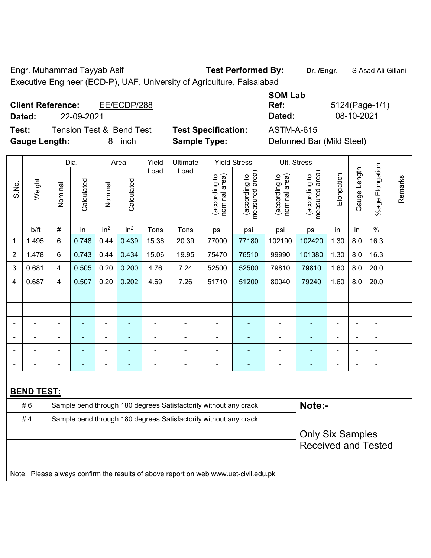Engr. Muhammad Tayyab Asif **Test Performed By: Dr. /Engr.** S Asad Ali Gillani Executive Engineer (ECD-P), UAF, University of Agriculture, Faisalabad

**Client Reference:** EE/ECDP/288

**Test:** Tension Test & Bend Test **Test Specification:** ASTM-A-615 **Gauge Length:** 8 inch **Sample Type:** Deformed Bar (Mild Steel)

**SOM Lab Ref:** 5124(Page-1/1) **Dated:** 22-09-2021 **Dated:** 08-10-2021

|                |                   |                | Dia.           |                 | Area            | Yield<br>Ultimate                                                          |                                                                                     |                                | <b>Yield Stress</b>            |                                | Ult. Stress                                           |                |                |                       |         |
|----------------|-------------------|----------------|----------------|-----------------|-----------------|----------------------------------------------------------------------------|-------------------------------------------------------------------------------------|--------------------------------|--------------------------------|--------------------------------|-------------------------------------------------------|----------------|----------------|-----------------------|---------|
| S.No.          | Weight            | Nominal        | Calculated     | Nominal         | Calculated      | Load                                                                       | Load                                                                                | nominal area)<br>(according to | measured area)<br>decording to | nominal area)<br>(according to | (according to<br>measured area)                       | Elongation     | Gauge Length   | Elongation<br>$%$ age | Remarks |
|                | lb/ft             | $\#$           | in             | in <sup>2</sup> | in <sup>2</sup> | Tons                                                                       | Tons                                                                                | psi                            | psi                            | psi                            | psi                                                   | in             | in             | $\%$                  |         |
| 1              | 1.495             | 6              | 0.748          | 0.44            | 0.439           | 15.36                                                                      | 20.39                                                                               | 77000                          | 77180                          | 102190                         | 102420                                                | 1.30           | 8.0            | 16.3                  |         |
| $\overline{2}$ | 1.478             | 6              | 0.743          | 0.44            | 0.434           | 15.06                                                                      | 19.95                                                                               | 75470                          | 76510                          | 99990                          | 101380                                                | 1.30           | 8.0            | 16.3                  |         |
| 3              | 0.681             | 4              | 0.505          | 0.20            | 0.200           | 4.76                                                                       | 7.24                                                                                | 52500                          | 52500                          | 79810                          | 79810                                                 | 1.60           | 8.0            | 20.0                  |         |
| 4              | 0.687             | 4              | 0.507          | 0.20            | 0.202           | 4.69                                                                       | 7.26                                                                                | 51710                          | 51200                          | 80040                          | 79240                                                 | 1.60           | 8.0            | 20.0                  |         |
| $\blacksquare$ | $\blacksquare$    | $\blacksquare$ | $\blacksquare$ | ä,              |                 | $\blacksquare$                                                             | ÷                                                                                   | ä,                             | $\blacksquare$                 | $\blacksquare$                 | ä,                                                    | $\blacksquare$ | $\blacksquare$ | $\blacksquare$        |         |
|                | $\blacksquare$    | $\blacksquare$ | $\blacksquare$ | ÷               | $\blacksquare$  | $\blacksquare$                                                             | ÷                                                                                   | $\blacksquare$                 | $\blacksquare$                 | $\blacksquare$                 | $\blacksquare$                                        | $\blacksquare$ |                | $\blacksquare$        |         |
| $\blacksquare$ | $\blacksquare$    | $\blacksquare$ | $\blacksquare$ | ÷               | ä,              | $\blacksquare$                                                             | ÷                                                                                   | $\blacksquare$                 | $\blacksquare$                 | $\blacksquare$                 | $\blacksquare$                                        | $\blacksquare$ |                | $\blacksquare$        |         |
|                |                   |                |                | $\overline{a}$  |                 |                                                                            | Ē,                                                                                  |                                |                                | $\blacksquare$                 |                                                       |                |                | $\blacksquare$        |         |
|                |                   |                |                |                 |                 |                                                                            |                                                                                     |                                |                                |                                |                                                       |                |                |                       |         |
|                |                   | $\blacksquare$ |                | $\overline{a}$  | ۰               |                                                                            | Ē.                                                                                  | $\overline{a}$                 | ٠                              | $\overline{\phantom{a}}$       | ٠                                                     | $\blacksquare$ |                | $\blacksquare$        |         |
|                |                   |                |                |                 |                 |                                                                            |                                                                                     |                                |                                |                                |                                                       |                |                |                       |         |
|                | <b>BEND TEST:</b> |                |                |                 |                 |                                                                            |                                                                                     |                                |                                |                                |                                                       |                |                |                       |         |
|                | #6                |                |                |                 |                 | Sample bend through 180 degrees Satisfactorily without any crack<br>Note:- |                                                                                     |                                |                                |                                |                                                       |                |                |                       |         |
|                | #4                |                |                |                 |                 | Sample bend through 180 degrees Satisfactorily without any crack           |                                                                                     |                                |                                |                                |                                                       |                |                |                       |         |
|                |                   |                |                |                 |                 |                                                                            |                                                                                     |                                |                                |                                | <b>Only Six Samples</b><br><b>Received and Tested</b> |                |                |                       |         |
|                |                   |                |                |                 |                 |                                                                            | Note: Please always confirm the results of above report on web www.uet-civil.edu.pk |                                |                                |                                |                                                       |                |                |                       |         |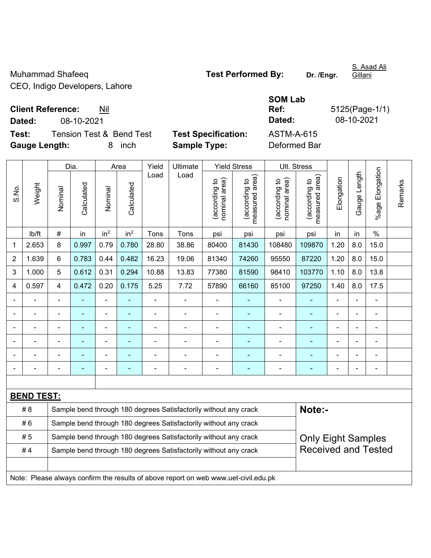Muhammad Shafeeq **Test Performed By:** Dr. /Engr. CEO, Indigo Developers, Lahore

S. Asad Ali

**Client Reference:** Nil

**Dated:** 08-10-2021 **Dated:** 08-10-2021

**Test:** Tension Test & Bend Test Test Specification: **Gauge Length:** 8 inch **Sample Type:** Deformed Bar

| <b>SOM Lab</b> |                |
|----------------|----------------|
| Ref:           | 5125(Page-1/1) |
| Dated:         | 08-10-2021     |
| ASTM-A-615     |                |

|                | Weight                                                                              | Dia.                                                                       |                                                                  | Area            |                 | Yield          | Ultimate       | <b>Yield Stress</b>            |                                             | Ult. Stress                    |                                 |                          |                |                      |         |
|----------------|-------------------------------------------------------------------------------------|----------------------------------------------------------------------------|------------------------------------------------------------------|-----------------|-----------------|----------------|----------------|--------------------------------|---------------------------------------------|--------------------------------|---------------------------------|--------------------------|----------------|----------------------|---------|
| S.No.          |                                                                                     | Nominal                                                                    | Calculated                                                       | Nominal         | Calculated      | Load           | Load           | nominal area)<br>(according to | (according to<br>measured area)<br>measured | nominal area)<br>(according to | (according to<br>measured area) | Elongation               | Gauge Length   | Elongation<br>%age l | Remarks |
|                | lb/ft                                                                               | #                                                                          | in                                                               | in <sup>2</sup> | in <sup>2</sup> | Tons           | Tons           | psi                            | psi                                         | psi                            | psi                             | in                       | in             | $\%$                 |         |
| 1              | 2.653                                                                               | 8                                                                          | 0.997                                                            | 0.79            | 0.780           | 28.80          | 38.86          | 80400                          | 81430                                       | 108480                         | 109870                          | 1.20                     | 8.0            | 15.0                 |         |
| 2              | 1.639                                                                               | 6                                                                          | 0.783                                                            | 0.44            | 0.482           | 16.23          | 19.06          | 81340                          | 74260                                       | 95550                          | 87220                           | 1.20                     | 8.0            | 15.0                 |         |
| 3              | 1.000                                                                               | 5                                                                          | 0.612                                                            | 0.31            | 0.294           | 10.88          | 13.83          | 77380                          | 81590                                       | 98410                          | 103770                          | 1.10                     | 8.0            | 13.8                 |         |
| $\overline{4}$ | 0.597                                                                               | 4                                                                          | 0.472                                                            | 0.20            | 0.175           | 5.25           | 7.72           | 57890                          | 66160                                       | 85100                          | 97250                           | 1.40                     | 8.0            | 17.5                 |         |
|                |                                                                                     | $\blacksquare$                                                             | $\blacksquare$                                                   | ÷,              |                 | ä,             | $\blacksquare$ | $\blacksquare$                 | $\blacksquare$                              | $\blacksquare$                 | $\blacksquare$                  | $\overline{a}$           |                | ä,                   |         |
|                |                                                                                     |                                                                            | $\blacksquare$                                                   | ÷,              |                 |                | $\blacksquare$ | $\blacksquare$                 | $\sim$                                      | $\blacksquare$                 | ۰                               |                          |                | ä,                   |         |
|                |                                                                                     |                                                                            |                                                                  | $\blacksquare$  |                 |                | $\blacksquare$ | $\blacksquare$                 | ÷                                           | $\overline{a}$                 |                                 |                          |                | ÷                    |         |
|                |                                                                                     |                                                                            | $\overline{\phantom{0}}$                                         | ۰               | ۰               | $\blacksquare$ | $\blacksquare$ | $\blacksquare$                 | ۰                                           | $\blacksquare$                 | $\overline{\phantom{0}}$        | $\blacksquare$           | $\blacksquare$ | $\blacksquare$       |         |
|                |                                                                                     |                                                                            | $\overline{\phantom{0}}$                                         | ä,              |                 |                | $\blacksquare$ | $\blacksquare$                 | ÷                                           | $\blacksquare$                 | ۰                               | $\overline{\phantom{a}}$ |                | ä,                   |         |
|                |                                                                                     |                                                                            | $\blacksquare$                                                   | ۰               |                 | $\blacksquare$ | $\blacksquare$ | $\blacksquare$                 | ÷                                           | $\blacksquare$                 | ۰                               | Ē,                       |                | $\blacksquare$       |         |
|                |                                                                                     |                                                                            |                                                                  |                 |                 |                |                |                                |                                             |                                |                                 |                          |                |                      |         |
|                | <b>BEND TEST:</b>                                                                   |                                                                            |                                                                  |                 |                 |                |                |                                |                                             |                                |                                 |                          |                |                      |         |
|                | # 8                                                                                 | Note:-<br>Sample bend through 180 degrees Satisfactorily without any crack |                                                                  |                 |                 |                |                |                                |                                             |                                |                                 |                          |                |                      |         |
|                | #6<br>Sample bend through 180 degrees Satisfactorily without any crack              |                                                                            |                                                                  |                 |                 |                |                |                                |                                             |                                |                                 |                          |                |                      |         |
| #5             |                                                                                     | Sample bend through 180 degrees Satisfactorily without any crack           |                                                                  |                 |                 |                |                |                                |                                             |                                | <b>Only Eight Samples</b>       |                          |                |                      |         |
| #4             |                                                                                     |                                                                            | Sample bend through 180 degrees Satisfactorily without any crack |                 |                 |                |                |                                |                                             |                                | <b>Received and Tested</b>      |                          |                |                      |         |
|                |                                                                                     |                                                                            |                                                                  |                 |                 |                |                |                                |                                             |                                |                                 |                          |                |                      |         |
|                | Note: Please always confirm the results of above report on web www.uet-civil.edu.pk |                                                                            |                                                                  |                 |                 |                |                |                                |                                             |                                |                                 |                          |                |                      |         |

Gillani